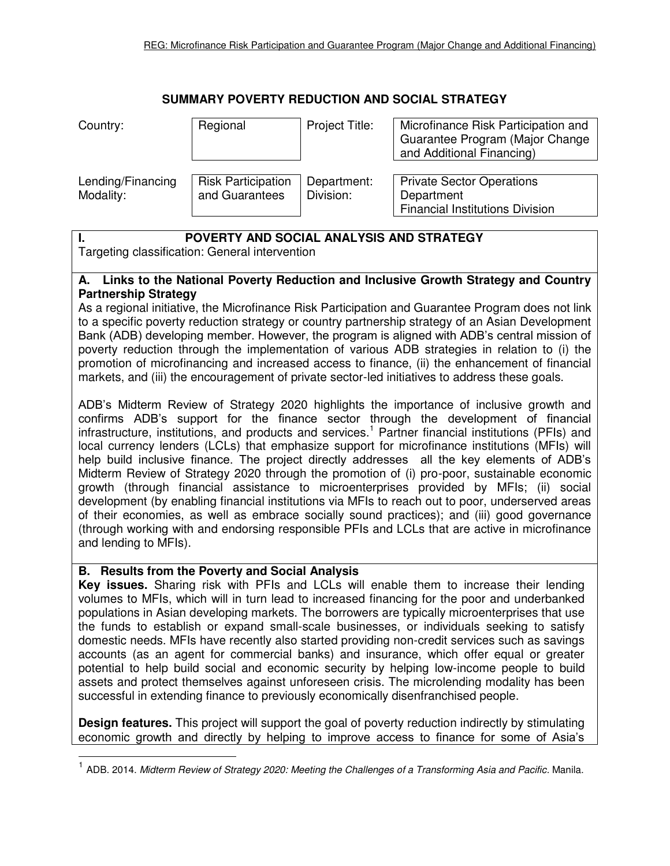## **SUMMARY POVERTY REDUCTION AND SOCIAL STRATEGY**

| Country:                       | Regional                                    | Project Title:           | Microfinance Risk Participation and<br>Guarantee Program (Major Change<br>and Additional Financing) |
|--------------------------------|---------------------------------------------|--------------------------|-----------------------------------------------------------------------------------------------------|
| Lending/Financing<br>Modality: | <b>Risk Participation</b><br>and Guarantees | Department:<br>Division: | <b>Private Sector Operations</b><br>Department<br><b>Financial Institutions Division</b>            |

## **I. POVERTY AND SOCIAL ANALYSIS AND STRATEGY**

Targeting classification: General intervention

## **A. Links to the National Poverty Reduction and Inclusive Growth Strategy and Country Partnership Strategy**

As a regional initiative, the Microfinance Risk Participation and Guarantee Program does not link to a specific poverty reduction strategy or country partnership strategy of an Asian Development Bank (ADB) developing member. However, the program is aligned with ADB's central mission of poverty reduction through the implementation of various ADB strategies in relation to (i) the promotion of microfinancing and increased access to finance, (ii) the enhancement of financial markets, and (iii) the encouragement of private sector-led initiatives to address these goals.

ADB's Midterm Review of Strategy 2020 highlights the importance of inclusive growth and confirms ADB's support for the finance sector through the development of financial infrastructure, institutions, and products and services.<sup>1</sup> Partner financial institutions (PFIs) and local currency lenders (LCLs) that emphasize support for microfinance institutions (MFIs) will help build inclusive finance. The project directly addresses all the key elements of ADB's Midterm Review of Strategy 2020 through the promotion of (i) pro-poor, sustainable economic growth (through financial assistance to microenterprises provided by MFIs; (ii) social development (by enabling financial institutions via MFIs to reach out to poor, underserved areas of their economies, as well as embrace socially sound practices); and (iii) good governance (through working with and endorsing responsible PFIs and LCLs that are active in microfinance and lending to MFIs).

## **B. Results from the Poverty and Social Analysis**

**Key issues.** Sharing risk with PFIs and LCLs will enable them to increase their lending volumes to MFIs, which will in turn lead to increased financing for the poor and underbanked populations in Asian developing markets. The borrowers are typically microenterprises that use the funds to establish or expand small-scale businesses, or individuals seeking to satisfy domestic needs. MFIs have recently also started providing non-credit services such as savings accounts (as an agent for commercial banks) and insurance, which offer equal or greater potential to help build social and economic security by helping low-income people to build assets and protect themselves against unforeseen crisis. The microlending modality has been successful in extending finance to previously economically disenfranchised people.

**Design features.** This project will support the goal of poverty reduction indirectly by stimulating economic growth and directly by helping to improve access to finance for some of Asia's

<sup>1</sup> ADB. 2014. *Midterm Review of Strategy 2020: Meeting the Challenges of a Transforming Asia and Pacific.* Manila.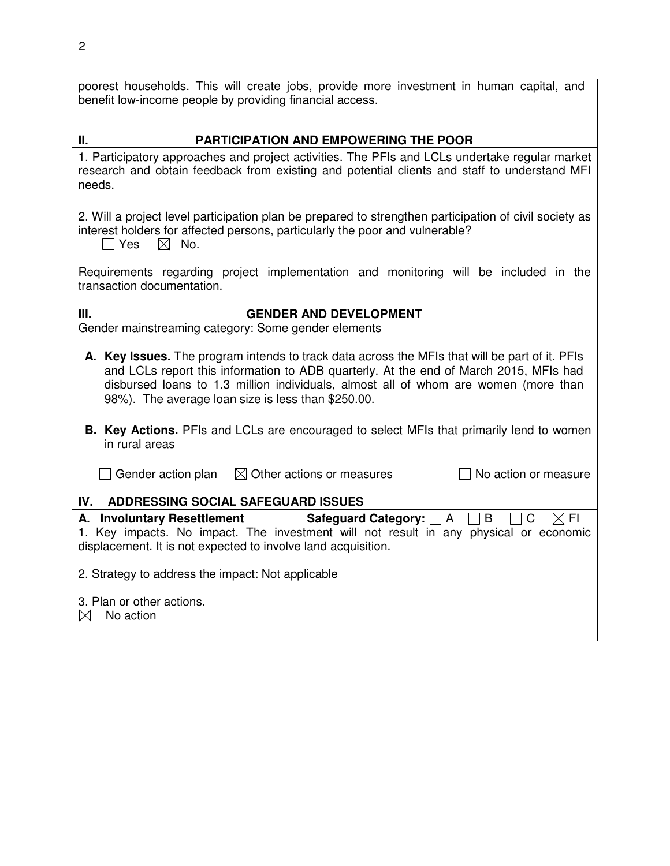| poorest households. This will create jobs, provide more investment in human capital, and<br>benefit low-income people by providing financial access.                                                                                                                                                                                 |  |  |  |  |
|--------------------------------------------------------------------------------------------------------------------------------------------------------------------------------------------------------------------------------------------------------------------------------------------------------------------------------------|--|--|--|--|
| <b>PARTICIPATION AND EMPOWERING THE POOR</b><br>П.                                                                                                                                                                                                                                                                                   |  |  |  |  |
| 1. Participatory approaches and project activities. The PFIs and LCLs undertake regular market<br>research and obtain feedback from existing and potential clients and staff to understand MFI<br>needs.                                                                                                                             |  |  |  |  |
| 2. Will a project level participation plan be prepared to strengthen participation of civil society as<br>interest holders for affected persons, particularly the poor and vulnerable?<br>$\boxtimes$ No.<br>  Yes                                                                                                                   |  |  |  |  |
| Requirements regarding project implementation and monitoring will be included in the<br>transaction documentation.                                                                                                                                                                                                                   |  |  |  |  |
| <b>GENDER AND DEVELOPMENT</b><br>Ш.<br>Gender mainstreaming category: Some gender elements                                                                                                                                                                                                                                           |  |  |  |  |
| A. Key Issues. The program intends to track data across the MFIs that will be part of it. PFIs<br>and LCLs report this information to ADB quarterly. At the end of March 2015, MFIs had<br>disbursed loans to 1.3 million individuals, almost all of whom are women (more than<br>98%). The average loan size is less than \$250.00. |  |  |  |  |
| <b>B. Key Actions.</b> PFIs and LCLs are encouraged to select MFIs that primarily lend to women<br>in rural areas                                                                                                                                                                                                                    |  |  |  |  |
| $\boxtimes$ Other actions or measures<br>No action or measure<br>$\Box$ Gender action plan                                                                                                                                                                                                                                           |  |  |  |  |
| <b>ADDRESSING SOCIAL SAFEGUARD ISSUES</b><br>IV.                                                                                                                                                                                                                                                                                     |  |  |  |  |
| A. Involuntary Resettlement<br>Safeguard Category: [<br>C<br>$\boxtimes$ FI<br>B<br>I A<br>1. Key impacts. No impact. The investment will not result in any physical or economic<br>displacement. It is not expected to involve land acquisition.                                                                                    |  |  |  |  |
| 2. Strategy to address the impact: Not applicable                                                                                                                                                                                                                                                                                    |  |  |  |  |
| 3. Plan or other actions.<br>$\boxtimes$<br>No action                                                                                                                                                                                                                                                                                |  |  |  |  |